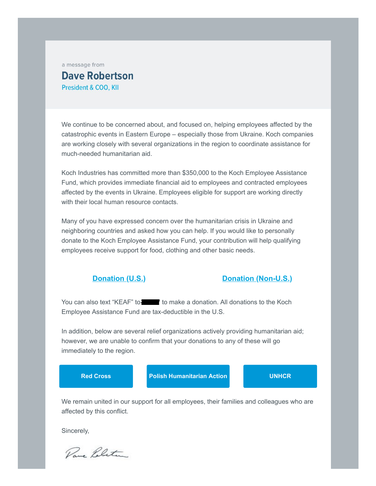a message from

## **Dave Robertson** President & COO, KII

We continue to be concerned about, and focused on, helping employees affected by the catastrophic events in Eastern Europe – especially those from Ukraine. Koch companies are working closely with several organizations in the region to coordinate assistance for much-needed humanitarian aid.

Koch Industries has committed more than \$350,000 to the Koch Employee Assistance Fund, which provides immediate financial aid to employees and contracted employees affected by the events in Ukraine. Employees eligible for support are working directly with their local human resource contacts.

Many of you have expressed concern over the humanitarian crisis in Ukraine and neighboring countries and asked how you can help. If you would like to personally donate to the Koch Employee Assistance Fund, your contribution will help qualifying employees receive support for food, clothing and other basic needs.

## **Donation (U.S.) Donation (Non-U.S.)**

You can also text "KEAF" to **11777** to make a donation. All donations to the Koch Employee Assistance Fund are tax-deductible in the U.S.

In addition, below are several relief organizations actively providing humanitarian aid; however, we are unable to confirm that your donations to any of these will go immediately to the region.

**[Red Cross](https://email.kochind.com/r/c-1x-TKXlaloi6ciLpSwDifNsYV-QDjKAvGMp-QkW8SJ.htm) [Polish Humanitarian Action](https://email.kochind.com/r/c-1x-ZjRnlnahE6htMcNwhLJ1sY-QDjKAvGMp-QkW8SJ.htm) [UNHCR](https://email.kochind.com/r/c-1x-gGOznzluyEuBe6JNutSv1s-QDjKAvGMp-QkW8SJ.htm)**

We remain united in our support for all employees, their families and colleagues who are affected by this conflict.

Sincerely,

Rang Politin